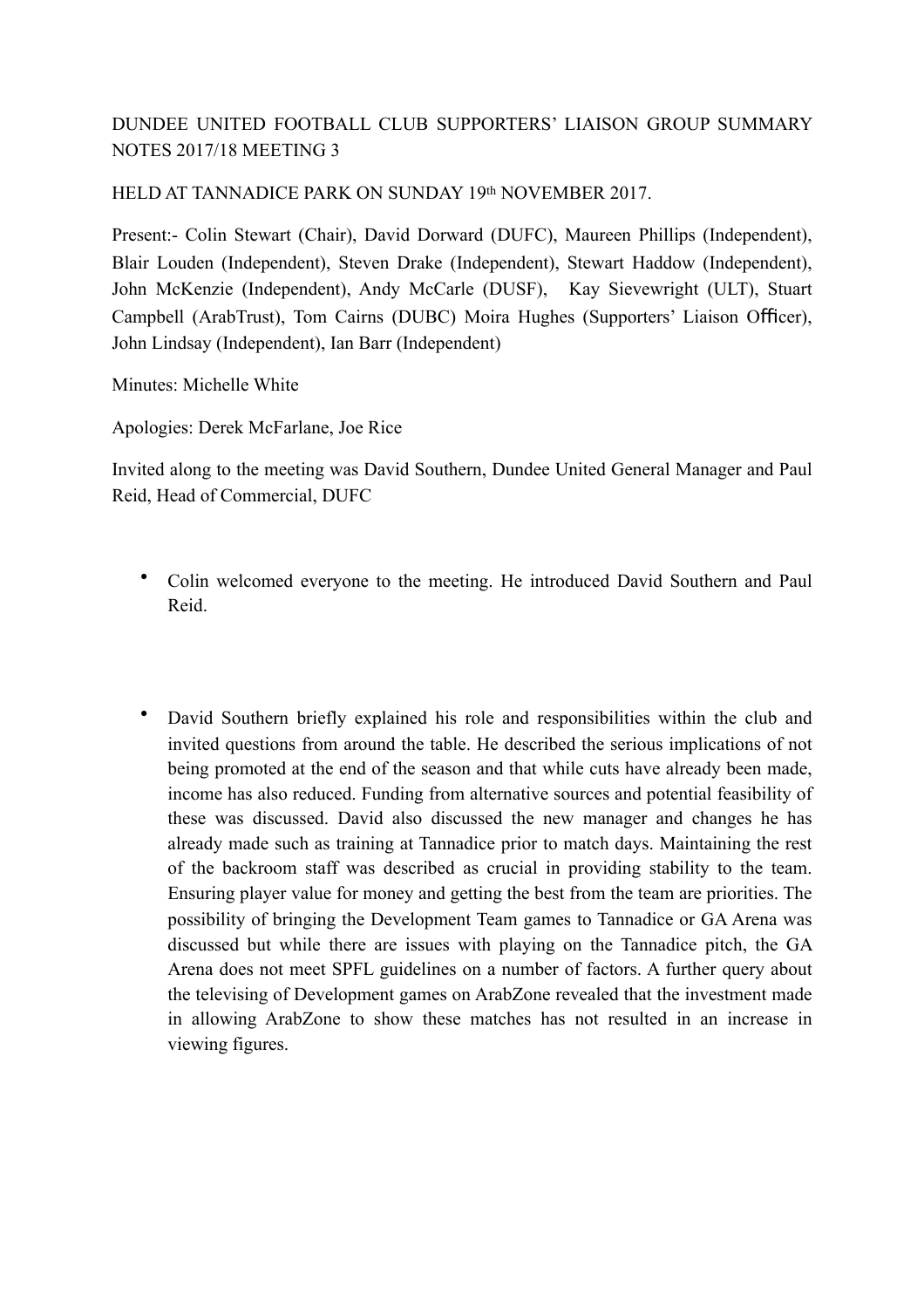## DUNDEE UNITED FOOTBALL CLUB SUPPORTERS' LIAISON GROUP SUMMARY NOTES 2017/18 MEETING 3

## HELD AT TANNADICE PARK ON SUNDAY 19th NOVEMBER 2017.

Present:- Colin Stewart (Chair), David Dorward (DUFC), Maureen Phillips (Independent), Blair Louden (Independent), Steven Drake (Independent), Stewart Haddow (Independent), John McKenzie (Independent), Andy McCarle (DUSF), Kay Sievewright (ULT), Stuart Campbell (ArabTrust), Tom Cairns (DUBC) Moira Hughes (Supporters' Liaison Officer), John Lindsay (Independent), Ian Barr (Independent)

Minutes: Michelle White

Apologies: Derek McFarlane, Joe Rice

Invited along to the meeting was David Southern, Dundee United General Manager and Paul Reid, Head of Commercial, DUFC

- Colin welcomed everyone to the meeting. He introduced David Southern and Paul Reid.
- David Southern briefly explained his role and responsibilities within the club and invited questions from around the table. He described the serious implications of not being promoted at the end of the season and that while cuts have already been made, income has also reduced. Funding from alternative sources and potential feasibility of these was discussed. David also discussed the new manager and changes he has already made such as training at Tannadice prior to match days. Maintaining the rest of the backroom staff was described as crucial in providing stability to the team. Ensuring player value for money and getting the best from the team are priorities. The possibility of bringing the Development Team games to Tannadice or GA Arena was discussed but while there are issues with playing on the Tannadice pitch, the GA Arena does not meet SPFL guidelines on a number of factors. A further query about the televising of Development games on ArabZone revealed that the investment made in allowing ArabZone to show these matches has not resulted in an increase in viewing figures.